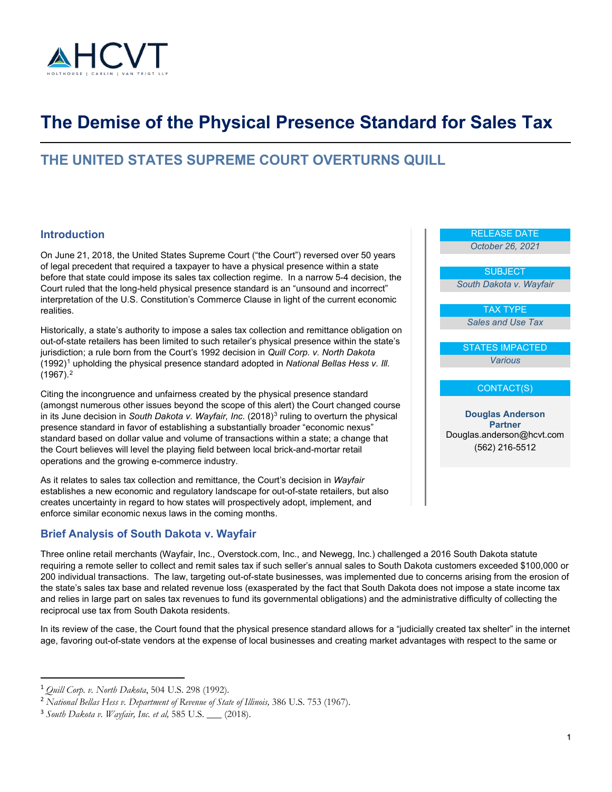

# **The Demise of the Physical Presence Standard for Sales Tax**

## **THE UNITED STATES SUPREME COURT OVERTURNS QUILL**

### **Introduction**

On June 21, 2018, the United States Supreme Court ("the Court") reversed over 50 years of legal precedent that required a taxpayer to have a physical presence within a state before that state could impose its sales tax collection regime. In a narrow 5-4 decision, the Court ruled that the long-held physical presence standard is an "unsound and incorrect" interpretation of the U.S. Constitution's Commerce Clause in light of the current economic realities.

Historically, a state's authority to impose a sales tax collection and remittance obligation on out-of-state retailers has been limited to such retailer's physical presence within the state's jurisdiction; a rule born from the Court's 1992 decision in *Quill Corp. v. North Dakota* (1992)[1](#page-0-0) upholding the physical presence standard adopted in *National Bellas Hess v. Ill.*  (1967). [2](#page-0-1)

Citing the incongruence and unfairness created by the physical presence standard (amongst numerous other issues beyond the scope of this alert) the Court changed course in its June decision in *South Dakota v. Wayfair, Inc.* (2018)[3](#page-0-2) ruling to overturn the physical presence standard in favor of establishing a substantially broader "economic nexus" standard based on dollar value and volume of transactions within a state; a change that the Court believes will level the playing field between local brick-and-mortar retail operations and the growing e-commerce industry.

As it relates to sales tax collection and remittance, the Court's decision in *Wayfair* establishes a new economic and regulatory landscape for out-of-state retailers, but also creates uncertainty in regard to how states will prospectively adopt, implement, and enforce similar economic nexus laws in the coming months.

### **Brief Analysis of South Dakota v. Wayfair**

Three online retail merchants (Wayfair, Inc., Overstock.com, Inc., and Newegg, Inc.) challenged a 2016 South Dakota statute requiring a remote seller to collect and remit sales tax if such seller's annual sales to South Dakota customers exceeded \$100,000 or 200 individual transactions. The law, targeting out-of-state businesses, was implemented due to concerns arising from the erosion of the state's sales tax base and related revenue loss (exasperated by the fact that South Dakota does not impose a state income tax and relies in large part on sales tax revenues to fund its governmental obligations) and the administrative difficulty of collecting the reciprocal use tax from South Dakota residents.

In its review of the case, the Court found that the physical presence standard allows for a "judicially created tax shelter" in the internet age, favoring out-of-state vendors at the expense of local businesses and creating market advantages with respect to the same or

# RELEASE DATE

*October 26, 2021*

**SUBJECT** 

*South Dakota v. Wayfair*

TAX TYPE *Sales and Use Tax*

STATES IMPACTED *Various*

#### CONTACT(S)

**Douglas Anderson Partner** Douglas.anderson@hcvt.com (562) 216-5512

<span id="page-0-0"></span><sup>1</sup> *Quill Corp. v. North Dakota*, 504 U.S. 298 (1992).

<span id="page-0-1"></span><sup>2</sup> *National Bellas Hess v. Department of Revenue of State of Illinois,* 386 U.S. 753 (1967).

<span id="page-0-2"></span><sup>3</sup> *South Dakota v. Wayfair, Inc. et al,* 585 U.S. \_\_\_ (2018).